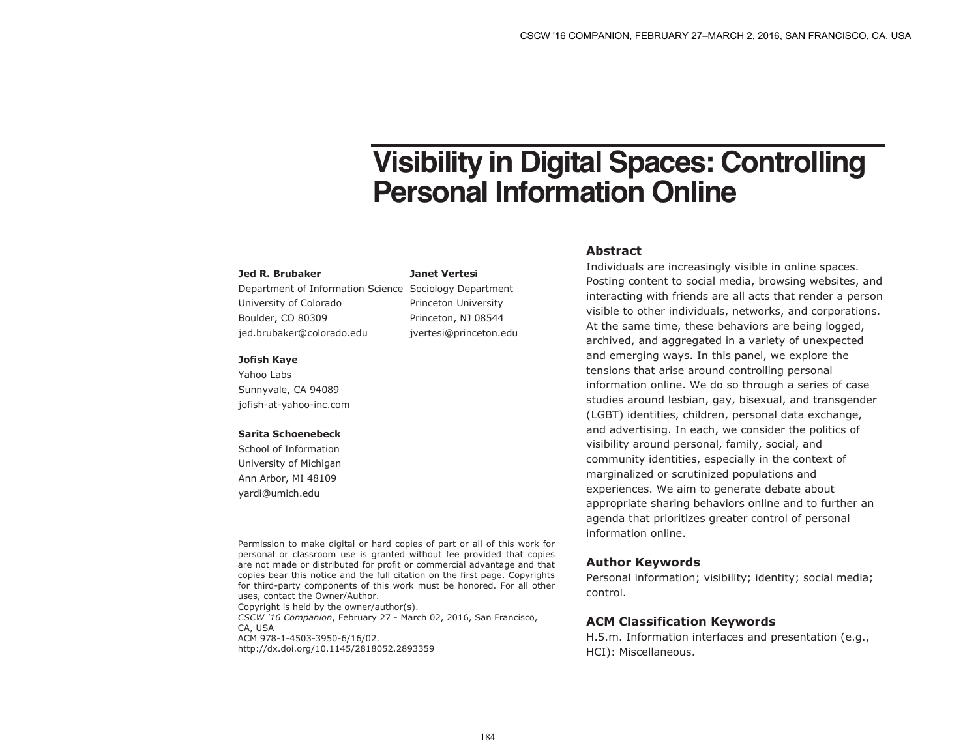# **Visibility in Digital Spaces: Controlling Personal Information Online**

#### **Jed R. Brubaker**

Department of Information Science Sociology Department University of Colorado Boulder, CO 80309 jed.brubaker@colorado.edu Princeton University Princeton, NJ 08544 jvertesi@princeton.edu

**Janet Vertesi**

#### **Jofish Kaye**

Yahoo Labs Sunnyvale, CA 94089 jofish-at-yahoo-inc.com

### **Sarita Schoenebeck**

School of Information University of Michigan Ann Arbor, MI 48109 yardi@umich.edu

#### Permission to make digital or hard copies of part or all of this work for personal or classroom use is granted without fee provided that copies are not made or distributed for profit or commercial advantage and that copies bear this notice and the full citation on the first page. Copyrights for third-party components of this work must be honored. For all other uses, contact the Owner/Author.

Copyright is held by the owner/author(s). *CSCW '16 Companion*, February 27 - March 02, 2016, San Francisco, CA, USA ACM 978-1-4503-3950-6/16/02. http://dx.doi.org/10.1145/2818052.2893359

# **Abstract**

Individuals are increasingly visible in online spaces. Posting content to social media, browsing websites, and interacting with friends are all acts that render a person visible to other individuals, networks, and corporations. At the same time, these behaviors are being logged, archived, and aggregated in a variety of unexpected and emerging ways. In this panel, we explore the tensions that arise around controlling personal information online. We do so through a series of case studies around lesbian, gay, bisexual, and transgender (LGBT) identities, children, personal data exchange, and advertising. In each, we consider the politics of visibility around personal, family, social, and community identities, especially in the context of marginalized or scrutinized populations and experiences. We aim to generate debate about appropriate sharing behaviors online and to further an agenda that prioritizes greater control of personal information online.

# **Author Keywords**

Personal information; visibility; identity; social media; control.

# **ACM Classification Keywords**

H.5.m. Information interfaces and presentation (e.g., HCI): Miscellaneous.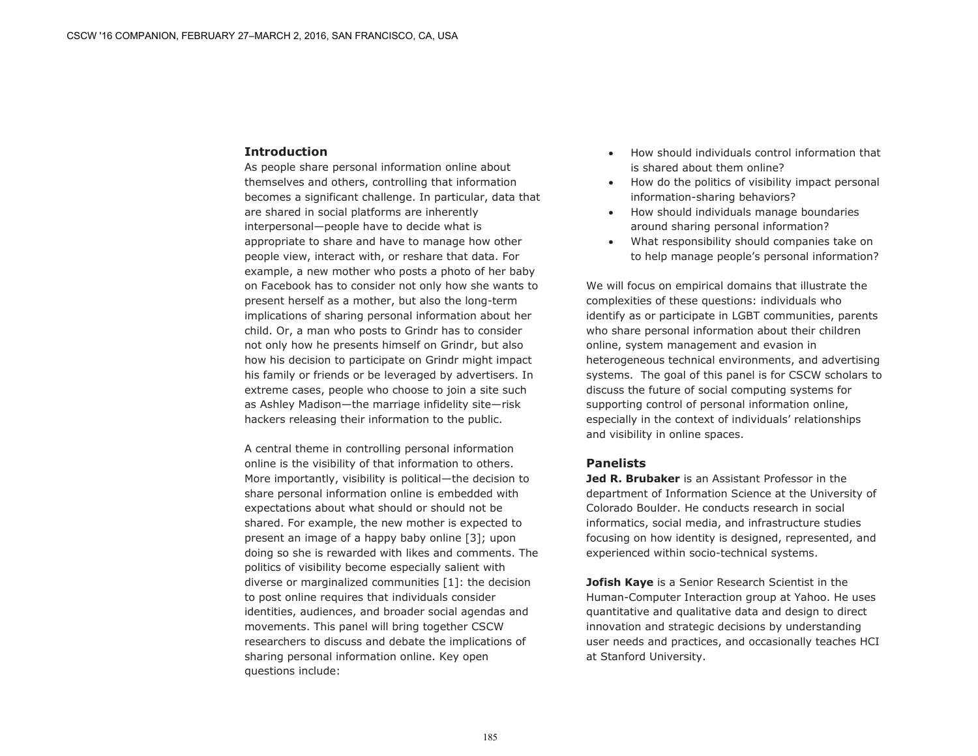# **Introduction**

As people share personal information online about themselves and others, controlling that information becomes a significant challenge. In particular, data that are shared in social platforms are inherently interpersonal—people have to decide what is appropriate to share and have to manage how other people view, interact with, or reshare that data. For example, a new mother who posts a photo of her baby on Facebook has to consider not only how she wants to present herself as a mother, but also the long-term implications of sharing personal information about her child. Or, a man who posts to Grindr has to consider not only how he presents himself on Grindr, but also how his decision to participate on Grindr might impact his family or friends or be leveraged by advertisers. In extreme cases, people who choose to join a site such as Ashley Madison—the marriage infidelity site—risk hackers releasing their information to the public.

A central theme in controlling personal information online is the visibility of that information to others. More importantly, visibility is political—the decision to share personal information online is embedded with expectations about what should or should not be shared. For example, the new mother is expected to present an image of a happy baby online [3]; upon doing so she is rewarded with likes and comments. The politics of visibility become especially salient with diverse or marginalized communities [1]: the decision to post online requires that individuals consider identities, audiences, and broader social agendas and movements. This panel will bring together CSCW researchers to discuss and debate the implications of sharing personal information online. Key open questions include:

- How should individuals control information that is shared about them online?
- How do the politics of visibility impact personal information-sharing behaviors?
- How should individuals manage boundaries around sharing personal information?
- What responsibility should companies take on to help manage people's personal information?

We will focus on empirical domains that illustrate the complexities of these questions: individuals who identify as or participate in LGBT communities, parents who share personal information about their children online, system management and evasion in heterogeneous technical environments, and advertising systems. The goal of this panel is for CSCW scholars to discuss the future of social computing systems for supporting control of personal information online, especially in the context of individuals' relationships and visibility in online spaces.

# **Panelists**

**Jed R. Brubaker** is an Assistant Professor in the department of Information Science at the University of Colorado Boulder. He conducts research in social informatics, social media, and infrastructure studies focusing on how identity is designed, represented, and experienced within socio-technical systems.

**Jofish Kaye** is a Senior Research Scientist in the Human-Computer Interaction group at Yahoo. He uses quantitative and qualitative data and design to direct innovation and strategic decisions by understanding user needs and practices, and occasionally teaches HCI at Stanford University.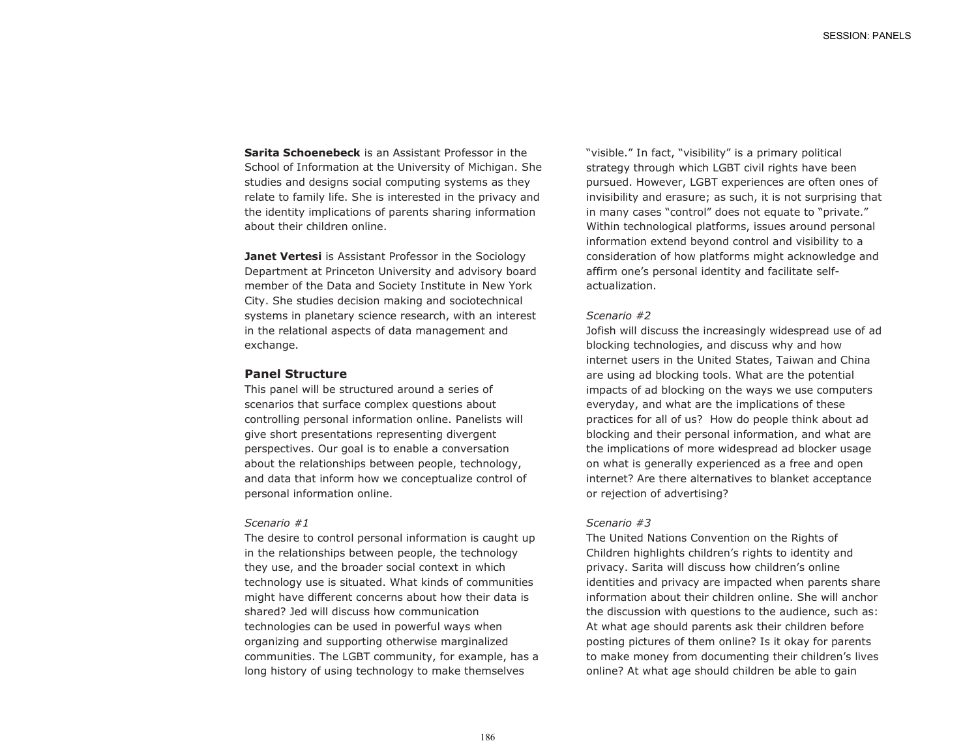**Sarita Schoenebeck** is an Assistant Professor in the School of Information at the University of Michigan. She studies and designs social computing systems as they relate to family life. She is interested in the privacy and the identity implications of parents sharing information about their children online.

**Janet Vertesi** is Assistant Professor in the Sociology Department at Princeton University and advisory board member of the Data and Society Institute in New York City. She studies decision making and sociotechnical systems in planetary science research, with an interest in the relational aspects of data management and exchange.

## **Panel Structure**

This panel will be structured around a series of scenarios that surface complex questions about controlling personal information online. Panelists will give short presentations representing divergent perspectives. Our goal is to enable a conversation about the relationships between people, technology, and data that inform how we conceptualize control of personal information online.

#### *Scenario #1*

The desire to control personal information is caught up in the relationships between people, the technology they use, and the broader social context in which technology use is situated. What kinds of communities might have different concerns about how their data is shared? Jed will discuss how communication technologies can be used in powerful ways when organizing and supporting otherwise marginalized communities. The LGBT community, for example, has a long history of using technology to make themselves

"visible." In fact, "visibility" is a primary political strategy through which LGBT civil rights have been pursued. However, LGBT experiences are often ones of invisibility and erasure; as such, it is not surprising that in many cases "control" does not equate to "private." Within technological platforms, issues around personal information extend beyond control and visibility to a consideration of how platforms might acknowledge and affirm one's personal identity and facilitate selfactualization.

# *Scenario #2*

Jofish will discuss the increasingly widespread use of ad blocking technologies, and discuss why and how internet users in the United States, Taiwan and China are using ad blocking tools. What are the potential impacts of ad blocking on the ways we use computers everyday, and what are the implications of these practices for all of us? How do people think about ad blocking and their personal information, and what are the implications of more widespread ad blocker usage on what is generally experienced as a free and open internet? Are there alternatives to blanket acceptance or rejection of advertising?

# *Scenario #3*

The United Nations Convention on the Rights of Children highlights children's rights to identity and privacy. Sarita will discuss how children's online identities and privacy are impacted when parents share information about their children online. She will anchor the discussion with questions to the audience, such as: At what age should parents ask their children before posting pictures of them online? Is it okay for parents to make money from documenting their children's lives online? At what age should children be able to gain